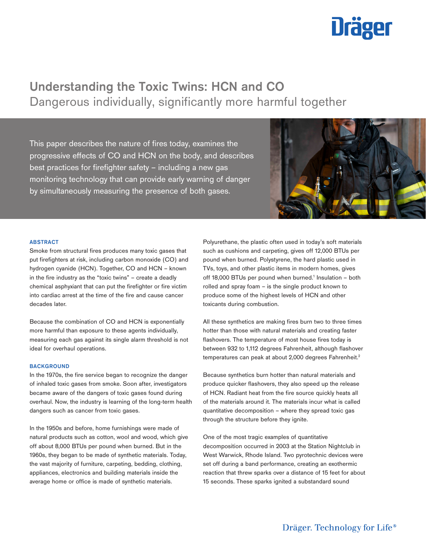# **Uräger**

# Understanding the Toxic Twins: HCN and CO Dangerous individually, significantly more harmful together

This paper describes the nature of fires today, examines the progressive effects of CO and HCN on the body, and describes best practices for firefighter safety – including a new gas monitoring technology that can provide early warning of danger by simultaneously measuring the presence of both gases.



#### **ABSTRACT**

Smoke from structural fires produces many toxic gases that put firefighters at risk, including carbon monoxide (CO) and hydrogen cyanide (HCN). Together, CO and HCN – known in the fire industry as the "toxic twins" – create a deadly chemical asphyxiant that can put the firefighter or fire victim into cardiac arrest at the time of the fire and cause cancer decades later.

Because the combination of CO and HCN is exponentially more harmful than exposure to these agents individually, measuring each gas against its single alarm threshold is not ideal for overhaul operations.

# **BACKGROUND**

In the 1970s, the fire service began to recognize the danger of inhaled toxic gases from smoke. Soon after, investigators became aware of the dangers of toxic gases found during overhaul. Now, the industry is learning of the long-term health dangers such as cancer from toxic gases.

In the 1950s and before, home furnishings were made of natural products such as cotton, wool and wood, which give off about 8,000 BTUs per pound when burned. But in the 1960s, they began to be made of synthetic materials. Today, the vast majority of furniture, carpeting, bedding, clothing, appliances, electronics and building materials inside the average home or office is made of synthetic materials.

Polyurethane, the plastic often used in today's soft materials such as cushions and carpeting, gives off 12,000 BTUs per pound when burned. Polystyrene, the hard plastic used in TVs, toys, and other plastic items in modern homes, gives off 18,000 BTUs per pound when burned.<sup>1</sup> Insulation - both rolled and spray foam – is the single product known to produce some of the highest levels of HCN and other toxicants during combustion. Polyurethane, the plastic often used in today's soft matesuch as cushions and carpeting, gives off 12,000 BTUs pound when burned. Polystyrene, the hard plastic used TVs, toys, and other plastic items in modern homes, give

All these synthetics are making fires burn two to three times hotter than those with natural materials and creating faster flashovers. The temperature of most house fires today is between 932 to 1,112 degrees Fahrenheit, although flashover temperatures can peak at about 2,000 degrees Fahrenheit.<sup>2</sup>

Because synthetics burn hotter than natural materials and produce quicker flashovers, they also speed up the release of HCN. Radiant heat from the fire source quickly heats all of the materials around it. The materials incur what is called quantitative decomposition – where they spread toxic gas through the structure before they ignite.

One of the most tragic examples of quantitative decomposition occurred in 2003 at the Station Nightclub in West Warwick, Rhode Island. Two pyrotechnic devices were set off during a band performance, creating an exothermic reaction that threw sparks over a distance of 15 feet for about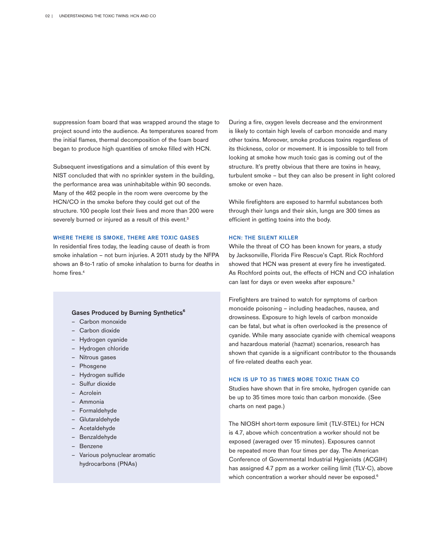suppression foam board that was wrapped around the stage to project sound into the audience. As temperatures soared from the initial flames, thermal decomposition of the foam board began to produce high quantities of smoke filled with HCN.

Subsequent investigations and a simulation of this event by NIST concluded that with no sprinkler system in the building, the performance area was uninhabitable within 90 seconds. Many of the 462 people in the room were overcome by the HCN/CO in the smoke before they could get out of the structure. 100 people lost their lives and more than 200 were severely burned or injured as a result of this event.<sup>3</sup>

#### **WHERE THERE IS SMOKE, THERE ARE TOXIC GASES**

In residential fires today, the leading cause of death is from smoke inhalation – not burn injuries. A 2011 study by the NFPA shows an 8-to-1 ratio of smoke inhalation to burns for deaths in home fires.4

# Gases Produced by Burning Synthetics<sup>6</sup>

- Carbon monoxide
- Carbon dioxide
- Hydrogen cyanide
- Hydrogen chloride
- Nitrous gases
- Phosgene
- Hydrogen sulfide
- Sulfur dioxide
- Acrolein
- Ammonia
- **Formaldehyde**
- **Glutaraldehyde**
- Acetaldehyde
- Benzaldehyde
- Benzene
- Various polynuclear aromatic hydrocarbons (PNAs)

During a fire, oxygen levels decrease and the environment is likely to contain high levels of carbon monoxide and many other toxins. Moreover, smoke produces toxins regardless of its thickness, color or movement. It is impossible to tell from looking at smoke how much toxic gas is coming out of the structure. It's pretty obvious that there are toxins in heavy, turbulent smoke – but they can also be present in light colored smoke or even haze.

While firefighters are exposed to harmful substances both through their lungs and their skin, lungs are 300 times as efficient in getting toxins into the body.

#### **HCN: THE SILENT KILLER**

While the threat of CO has been known for years, a study by Jacksonville, Florida Fire Rescue's Capt. Rick Rochford showed that HCN was present at every fire he investigated. As Rochford points out, the effects of HCN and CO inhalation can last for days or even weeks after exposure.<sup>5</sup>

Firefighters are trained to watch for symptoms of carbon monoxide poisoning – including headaches, nausea, and drowsiness. Exposure to high levels of carbon monoxide can be fatal, but what is often overlooked is the presence of cyanide. While many associate cyanide with chemical weapons and hazardous material (hazmat) scenarios, research has shown that cyanide is a significant contributor to the thousands of fire-related deaths each year.

# **HCN IS UP TO 35 TIMES MORE TOXIC THAN CO**

Studies have shown that in fire smoke, hydrogen cyanide can be up to 35 times more toxic than carbon monoxide. (See charts on next page.)

The NIOSH short-term exposure limit (TLV-STEL) for HCN is 4.7, above which concentration a worker should not be exposed (averaged over 15 minutes). Exposures cannot be repeated more than four times per day. The American Conference of Governmental Industrial Hygienists (ACGIH) has assigned 4.7 ppm as a worker ceiling limit (TLV-C), above which concentration a worker should never be exposed.<sup>6</sup>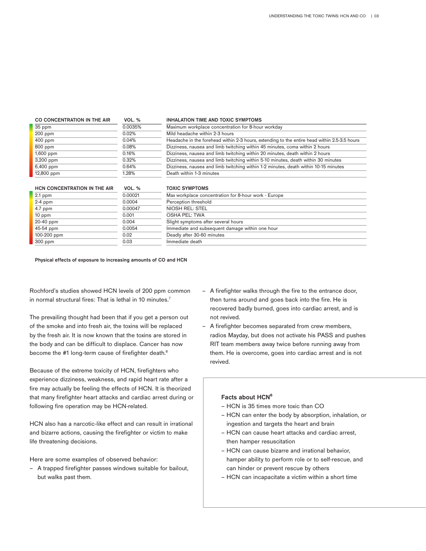| CO CONCENTRATION IN THE AIR  | VOL. %                                                                               | <b>INHALATION TIME AND TOXIC SYMPTOMS</b>                                                    |  |
|------------------------------|--------------------------------------------------------------------------------------|----------------------------------------------------------------------------------------------|--|
| 35 ppm                       | 0.0035%                                                                              | Maximum workplace concentration for 8-hour workday                                           |  |
| $200$ ppm<br>0.02%           |                                                                                      | Mild headache within 2-3 hours                                                               |  |
| $400$ ppm<br>0.04%           |                                                                                      | Headache in the forehead within 2-3 hours, extending to the entire head within 2.5-3.5 hours |  |
| 800 ppm                      | Dizziness, nausea and limb twitching within 45 minutes, coma within 2 hours<br>0.08% |                                                                                              |  |
| 1,600 ppm                    | 0.16%                                                                                | Dizziness, nausea and limb twitching within 20 minutes, death within 2 hours                 |  |
| 3,200 ppm                    | 0.32%                                                                                | Dizziness, nausea and limb twitching within 5-10 minutes, death within 30 minutes            |  |
| 6,400 ppm                    | 0.64%                                                                                | Dizziness, nausea and limb twitching within 1-2 minutes, death within 10-15 minutes          |  |
| 12,800 ppm                   | 1.28%                                                                                | Death within 1-3 minutes                                                                     |  |
| HCN CONCENTRATION IN THE AIR | <b>VOL. %</b>                                                                        | <b>TOXIC SYMPTOMS</b>                                                                        |  |
| $\sim$ $\sim$                | 0.0001                                                                               |                                                                                              |  |

| Z.I DUIII   | <u>U.UUUZI</u> | <b>IVIDA WUINDIQUE CUITUR</b> |
|-------------|----------------|-------------------------------|
| $2-4$ ppm   | 0.0004         | Perception threshold          |
| $4.7$ ppm   | 0.00047        | <b>NIOSH REL: STEL</b>        |
| $10$ ppm    | 0.001          | OSHA PEL: TWA                 |
| 20-40 ppm   | 0.004          | Slight symptoms afte          |
| 45-54 ppm   | 0.0054         | Immediate and subse           |
| 100-200 ppm | 0.02           | Deadly after 30-60 m          |
| $300$ ppm   | 0.03           | Immediate death               |
|             |                |                               |

| <b>HUN CUNCENTRATION IN THE AIR</b> | $VUL.$ 70 | כועוטו זוען זכ טוגעו                                 |
|-------------------------------------|-----------|------------------------------------------------------|
| 2.1 ppm                             | 0.00021   | Max workplace concentration for 8-hour work - Europe |
| $2-4$ ppm                           | 0.0004    | Perception threshold                                 |
| 4.7 ppm                             | 0.00047   | NIOSH REL: STEL                                      |
| 10 ppm                              | 0.001     | OSHA PEL: TWA                                        |
| 20-40 ppm                           | 0.004     | Slight symptoms after several hours                  |
| 45-54 ppm                           | 0.0054    | Immediate and subsequent damage within one hour      |
| 100-200 ppm                         | 0.02      | Deadly after 30-60 minutes                           |
| 300 ppm                             | 0.03      | Immediate death                                      |
|                                     |           |                                                      |

Physical effects of exposure to increasing amounts of CO and HCN

Rochford's studies showed HCN levels of 200 ppm common in normal structural fires: That is lethal in 10 minutes.<sup>7</sup>

The prevailing thought had been that if you get a person out of the smoke and into fresh air, the toxins will be replaced by the fresh air. It is now known that the toxins are stored in the body and can be difficult to displace. Cancer has now become the #1 long-term cause of firefighter death.<sup>8</sup>

Because of the extreme toxicity of HCN, firefighters who experience dizziness, weakness, and rapid heart rate after a fire may actually be feeling the effects of HCN. It is theorized that many firefighter heart attacks and cardiac arrest during or following fire operation may be HCN-related.

HCN also has a narcotic-like effect and can result in irrational and bizarre actions, causing the firefighter or victim to make life threatening decisions.

Here are some examples of observed behavior:

– A trapped firefighter passes windows suitable for bailout, but walks past them.

- A firefighter walks through the fire to the entrance door, then turns around and goes back into the fire. He is recovered badly burned, goes into cardiac arrest, and is not revived.
- A firefighter becomes separated from crew members, radios Mayday, but does not activate his PASS and pushes RIT team members away twice before running away from them. He is overcome, goes into cardiac arrest and is not revived.

# **Facts about HCN⁶**

- HCN is 35 times more toxic than CO
- HCN can enter the body by absorption, inhalation, or ingestion and targets the heart and brain
- HCN can cause heart attacks and cardiac arrest, then hamper resuscitation
- HCN can cause bizarre and irrational behavior, hamper ability to perform role or to self-rescue, and can hinder or prevent rescue by others
- HCN can incapacitate a victim within a short time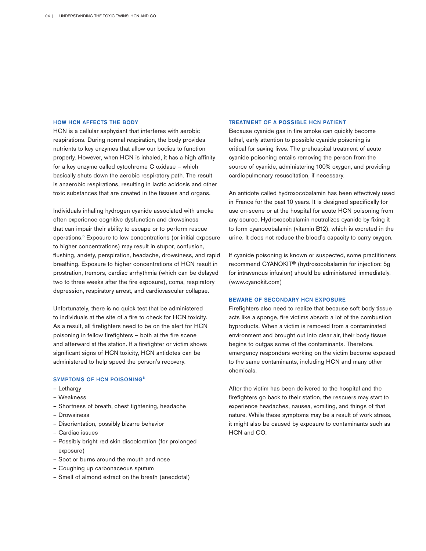#### **HOW HCN AFFECTS THE BODY**

HCN is a cellular asphyxiant that interferes with aerobic respirations. During normal respiration, the body provides nutrients to key enzymes that allow our bodies to function properly. However, when HCN is inhaled, it has a high affinity for a key enzyme called cytochrome C oxidase – which basically shuts down the aerobic respiratory path. The result is anaerobic respirations, resulting in lactic acidosis and other toxic substances that are created in the tissues and organs.

Individuals inhaling hydrogen cyanide associated with smoke often experience cognitive dysfunction and drowsiness that can impair their ability to escape or to perform rescue operations.6 Exposure to low concentrations (or initial exposure to higher concentrations) may result in stupor, confusion, flushing, anxiety, perspiration, headache, drowsiness, and rapid breathing. Exposure to higher concentrations of HCN result in prostration, tremors, cardiac arrhythmia (which can be delayed two to three weeks after the fire exposure), coma, respiratory depression, respiratory arrest, and cardiovascular collapse.

Unfortunately, there is no quick test that be administered to individuals at the site of a fire to check for HCN toxicity. As a result, all firefighters need to be on the alert for HCN poisoning in fellow firefighters – both at the fire scene and afterward at the station. If a firefighter or victim shows significant signs of HCN toxicity, HCN antidotes can be administered to help speed the person's recovery.

### **SYMPTOMS OF HCN POISONING<sup>6</sup>**

- Lethargy
- Weakness
- Shortness of breath, chest tightening, headache
- Drowsiness
- Disorientation, possibly bizarre behavior
- Cardiac issues
- Possibly bright red skin discoloration (for prolonged exposure)
- Soot or burns around the mouth and nose
- Coughing up carbonaceous sputum
- Smell of almond extract on the breath (anecdotal)

#### **TREATMENT OF A POSSIBLE HCN PATIENT**

Because cyanide gas in fire smoke can quickly become lethal, early attention to possible cyanide poisoning is critical for saving lives. The prehospital treatment of acute cyanide poisoning entails removing the person from the source of cyanide, administering 100% oxygen, and providing cardiopulmonary resuscitation, if necessary.

An antidote called hydroxocobalamin has been effectively used in France for the past 10 years. It is designed specifically for use on-scene or at the hospital for acute HCN poisoning from any source. Hydroxocobalamin neutralizes cyanide by fixing it to form cyanocobalamin (vitamin B12), which is excreted in the urine. It does not reduce the blood's capacity to carry oxygen.

If cyanide poisoning is known or suspected, some practitioners recommend CYANOKIT® (hydroxocobalamin for injection; 5g for intravenous infusion) should be administered immediately. (www.cyanokit.com)

#### **BEWARE OF SECONDARY HCN EXPOSURE**

Firefighters also need to realize that because soft body tissue acts like a sponge, fire victims absorb a lot of the combustion byproducts. When a victim is removed from a contaminated environment and brought out into clear air, their body tissue begins to outgas some of the contaminants. Therefore, emergency responders working on the victim become exposed to the same contaminants, including HCN and many other chemicals.

After the victim has been delivered to the hospital and the firefighters go back to their station, the rescuers may start to experience headaches, nausea, vomiting, and things of that nature. While these symptoms may be a result of work stress, it might also be caused by exposure to contaminants such as HCN and CO.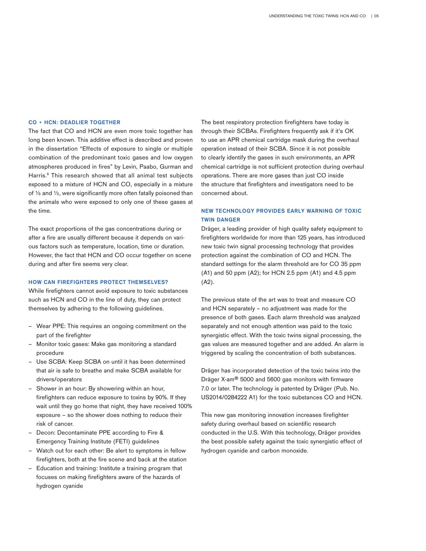#### **CO + HCN: DEADLIER TOGETHER**

The fact that CO and HCN are even more toxic together has long been known. This additive effect is described and proven in the dissertation "Effects of exposure to single or multiple combination of the predominant toxic gases and low oxygen atmospheres produced in fires" by Levin, Paabo, Gurman and Harris.<sup>9</sup> This research showed that all animal test subjects exposed to a mixture of HCN and CO, especially in a mixture of  $\frac{1}{3}$  and  $\frac{1}{2}$ , were significantly more often fatally poisoned than the animals who were exposed to only one of these gases at the time.

The exact proportions of the gas concentrations during or after a fire are usually different because it depends on various factors such as temperature, location, time or duration. However, the fact that HCN and CO occur together on scene during and after fire seems very clear.

# **HOW CAN FIREFIGHTERS PROTECT THEMSELVES?**

While firefighters cannot avoid exposure to toxic substances such as HCN and CO in the line of duty, they can protect themselves by adhering to the following guidelines.

- Wear PPE: This requires an ongoing commitment on the part of the firefighter
- Monitor toxic gases: Make gas monitoring a standard procedure
- Use SCBA: Keep SCBA on until it has been determined that air is safe to breathe and make SCBA available for drivers/operators
- Shower in an hour: By showering within an hour, firefighters can reduce exposure to toxins by 90%. If they wait until they go home that night, they have received 100% exposure – so the shower does nothing to reduce their risk of cancer.
- Decon: Decontaminate PPE according to Fire & Emergency Training Institute (FETI) guidelines
- Watch out for each other: Be alert to symptoms in fellow firefighters, both at the fire scene and back at the station
- Education and training: Institute a training program that focuses on making firefighters aware of the hazards of hydrogen cyanide

The best respiratory protection firefighters have today is through their SCBAs. Firefighters frequently ask if it's OK to use an APR chemical cartridge mask during the overhaul operation instead of their SCBA. Since it is not possible to clearly identify the gases in such environments, an APR chemical cartridge is not sufficient protection during overhaul operations. There are more gases than just CO inside the structure that firefighters and investigators need to be concerned about.

# **NEW TECHNOLOGY PROVIDES EARLY WARNING OF TOXIC TWIN DANGER**

Dräger, a leading provider of high quality safety equipment to firefighters worldwide for more than 125 years, has introduced new toxic twin signal processing technology that provides protection against the combination of CO and HCN. The standard settings for the alarm threshold are for CO 35 ppm (A1) and 50 ppm (A2); for HCN 2.5 ppm (A1) and 4.5 ppm (A2).

The previous state of the art was to treat and measure CO and HCN separately – no adjustment was made for the presence of both gases. Each alarm threshold was analyzed separately and not enough attention was paid to the toxic synergistic effect. With the toxic twins signal processing, the gas values are measured together and are added. An alarm is triggered by scaling the concentration of both substances.

Dräger has incorporated detection of the toxic twins into the Dräger X-am® 5000 and 5600 gas monitors with firmware 7.0 or later. The technology is patented by Dräger (Pub. No. US2014/0284222 A1) for the toxic substances CO and HCN.

This new gas monitoring innovation increases firefighter safety during overhaul based on scientific research conducted in the U.S. With this technology, Dräger provides the best possible safety against the toxic synergistic effect of hydrogen cyanide and carbon monoxide.